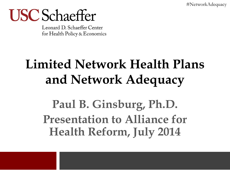#NetworkAdequacy

## **USC** Schaeffer

Leonard D. Schaeffer Center for Health Policy & Economics

### **Limited Network Health Plans and Network Adequacy**

**Paul B. Ginsburg, Ph.D. Presentation to Alliance for Health Reform, July 2014**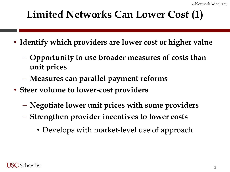#### **Limited Networks Can Lower Cost (1)**

- **Identify which providers are lower cost or higher value**
	- **Opportunity to use broader measures of costs than unit prices**
	- **Measures can parallel payment reforms**
- **Steer volume to lower-cost providers**
	- **Negotiate lower unit prices with some providers**
	- **Strengthen provider incentives to lower costs**
		- Develops with market-level use of approach

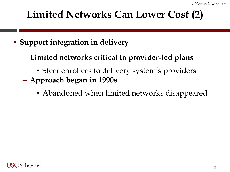#### **Limited Networks Can Lower Cost (2)**

- **Support integration in delivery**
	- **Limited networks critical to provider-led plans**
		- Steer enrollees to delivery system's providers
	- **Approach began in 1990s**
		- Abandoned when limited networks disappeared

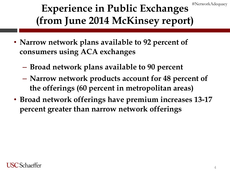#NetworkAdequacy

#### **Experience in Public Exchanges (from June 2014 McKinsey report)**

- **Narrow network plans available to 92 percent of consumers using ACA exchanges**
	- **Broad network plans available to 90 percent**
	- **Narrow network products account for 48 percent of the offerings (60 percent in metropolitan areas)**
- **Broad network offerings have premium increases 13-17 percent greater than narrow network offerings**

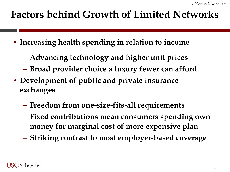#### **Factors behind Growth of Limited Networks**

- **Increasing health spending in relation to income**
	- **Advancing technology and higher unit prices**
	- **Broad provider choice a luxury fewer can afford**
- **Development of public and private insurance exchanges**
	- **Freedom from one-size-fits-all requirements**
	- **Fixed contributions mean consumers spending own money for marginal cost of more expensive plan**
	- **Striking contrast to most employer-based coverage**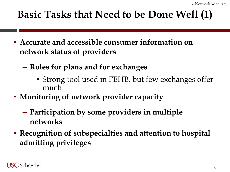#### **Basic Tasks that Need to be Done Well (1)**

- **Accurate and accessible consumer information on network status of providers**
	- **Roles for plans and for exchanges**
		- Strong tool used in FEHB, but few exchanges offer much
- **Monitoring of network provider capacity**
	- **Participation by some providers in multiple networks**
- **Recognition of subspecialties and attention to hospital admitting privileges**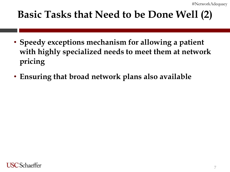#### **Basic Tasks that Need to be Done Well (2)**

- **Speedy exceptions mechanism for allowing a patient with highly specialized needs to meet them at network pricing**
- **Ensuring that broad network plans also available**

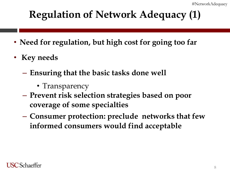#### **Regulation of Network Adequacy (1)**

- **Need for regulation, but high cost for going too far**
- **Key needs**
	- **Ensuring that the basic tasks done well**
		- Transparency
	- **Prevent risk selection strategies based on poor coverage of some specialties**
	- **Consumer protection: preclude networks that few informed consumers would find acceptable**

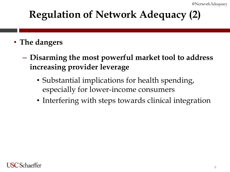#### **Regulation of Network Adequacy (2)**

- **The dangers**
	- **Disarming the most powerful market tool to address increasing provider leverage**
		- Substantial implications for health spending, especially for lower-income consumers
		- Interfering with steps towards clinical integration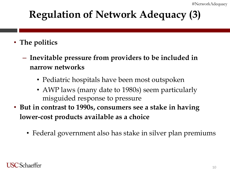#### **Regulation of Network Adequacy (3)**

- **The politics**
	- **Inevitable pressure from providers to be included in narrow networks**
		- Pediatric hospitals have been most outspoken
		- AWP laws (many date to 1980s) seem particularly misguided response to pressure
- **But in contrast to 1990s, consumers see a stake in having lower-cost products available as a choice**
	- Federal government also has stake in silver plan premiums